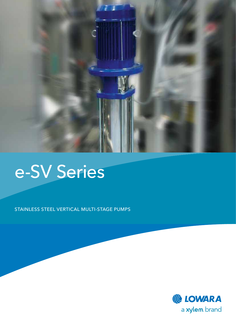

# e-SV Series

stainless steel vertical multi-stage pumps

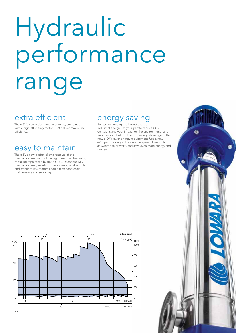# Hydraulic performance range

### extra efficient

The e-SV's newly-designed hydraulics, combined with a high-effi ciency motor (IE2) deliver maximum efficiency.

#### easy to maintain and an and and savies

The e-SV's new design allows removal of the mechanical seal without having to remove the motor, reducing repair time by up to 50%. A standard DIN mechanical seal, wearing components, service tools and standard IEC motors enable faster and easier maintenance and servicing.

#### energy saving

Pumps are among the largest users of industrial energy. Do your part to reduce CO2 emissions and your impact on the environment - and improve your bottom line - by taking advantage of the new e-SV's lower energy requirement. Use a new e-SV pump along with a variable speed drive such<br>as Xylem's Hydrovar®, and save even more energy and



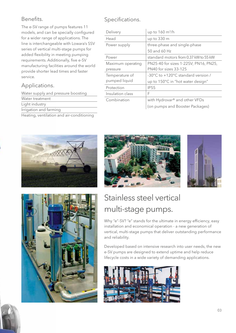#### Benefits.

The e-SV range of pumps features 11 models, and can be specially configured for a wider range of applications. The line is interchangeable with Lowara's SSV series of vertical multi-stage pumps for added flexibility in meeting pumping requirements. Additionally, five e-SV manufacturing facilities around the world provide shorter lead times and faster service.

#### Applications.

Water supply and pressure boosting Water treatment Light industry Irrigation and farming Heating, ventilation and air-conditioning

#### Specifications.

| Delivery          | up to 160 m <sup>3</sup> /h           |
|-------------------|---------------------------------------|
| Head              | up to 330 m                           |
| Power supply      | three-phase and single-phase          |
|                   | 50 and 60 Hz                          |
| Power             | standard motors from 0.37 kW to 55 kW |
| Maximum operating | PN25-40 for sizes 1-22SV; PN16, PN25, |
| pressure          | PN40 for sizes 33-125                 |
| Temperature of    | -30°C to +120°C standard version /    |
| pumped liquid     | up to 150°C in "hot water design"     |
| Protection        | <b>IP55</b>                           |
| Insulation class  | F                                     |
| Combination       | with Hydrovar® and other VFDs         |
|                   | (on pumps and Booster Packages)       |









# Stainless steel vertical multi-stage pumps.

Why "e"-SV? "e" stands for the ultimate in energy efficiency, easy installation and economical operation - a new generation of vertical, multi-stage pumps that deliver outstanding performance and reliability.

Developed based on intensive research into user needs, the new e-SV pumps are designed to extend uptime and help reduce lifecycle costs in a wide variety of demanding applications.